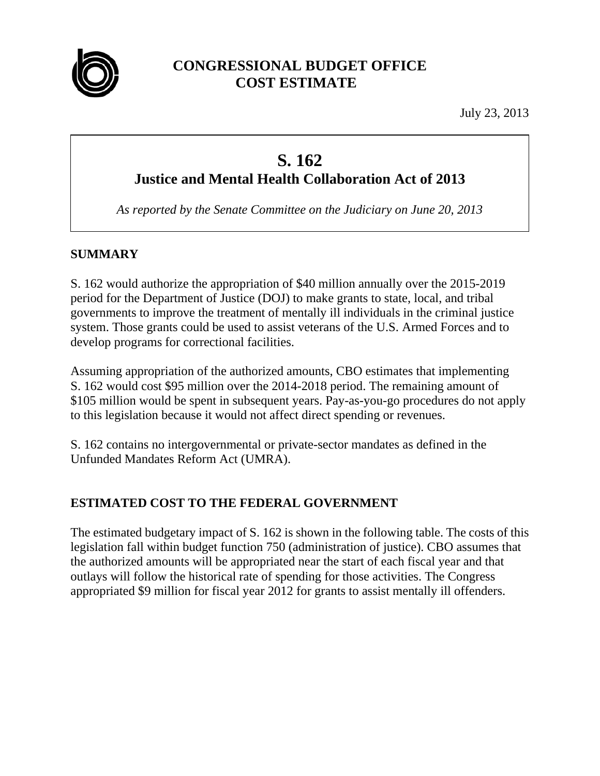

# **CONGRESSIONAL BUDGET OFFICE COST ESTIMATE**

July 23, 2013

# **S. 162 Justice and Mental Health Collaboration Act of 2013**

*As reported by the Senate Committee on the Judiciary on June 20, 2013* 

# **SUMMARY**

S. 162 would authorize the appropriation of \$40 million annually over the 2015-2019 period for the Department of Justice (DOJ) to make grants to state, local, and tribal governments to improve the treatment of mentally ill individuals in the criminal justice system. Those grants could be used to assist veterans of the U.S. Armed Forces and to develop programs for correctional facilities.

Assuming appropriation of the authorized amounts, CBO estimates that implementing S. 162 would cost \$95 million over the 2014-2018 period. The remaining amount of \$105 million would be spent in subsequent years. Pay-as-you-go procedures do not apply to this legislation because it would not affect direct spending or revenues.

S. 162 contains no intergovernmental or private-sector mandates as defined in the Unfunded Mandates Reform Act (UMRA).

## **ESTIMATED COST TO THE FEDERAL GOVERNMENT**

The estimated budgetary impact of S. 162 is shown in the following table. The costs of this legislation fall within budget function 750 (administration of justice). CBO assumes that the authorized amounts will be appropriated near the start of each fiscal year and that outlays will follow the historical rate of spending for those activities. The Congress appropriated \$9 million for fiscal year 2012 for grants to assist mentally ill offenders.